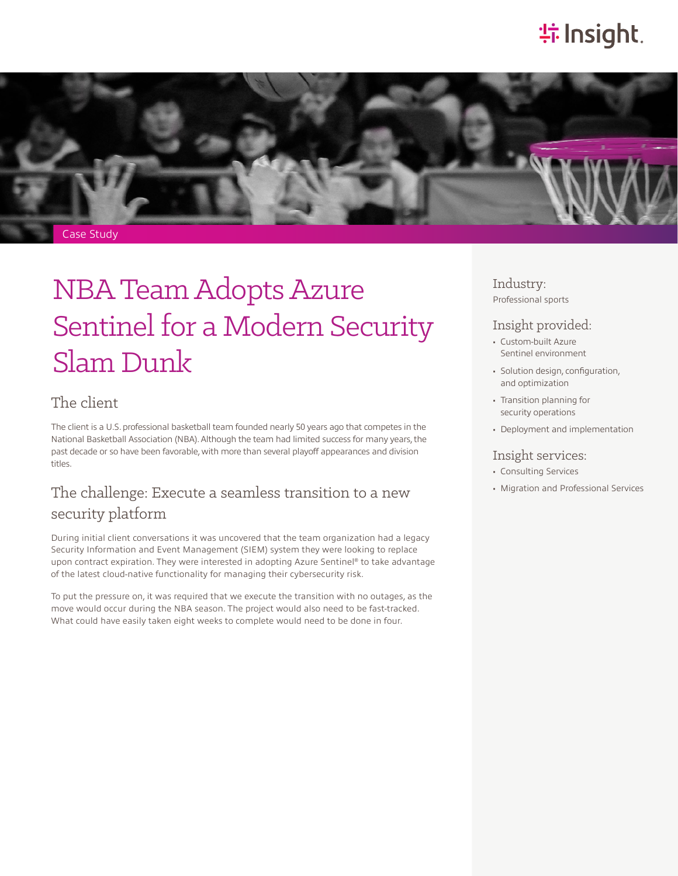# **特Insight**.



# NBA Team Adopts Azure Sentinel for a Modern Security Slam Dunk

### The client

The client is a U.S. professional basketball team founded nearly 50 years ago that competes in the National Basketball Association (NBA). Although the team had limited success for many years, the past decade or so have been favorable, with more than several playoff appearances and division titles.

## The challenge: Execute a seamless transition to a new security platform

During initial client conversations it was uncovered that the team organization had a legacy Security Information and Event Management (SIEM) system they were looking to replace upon contract expiration. They were interested in adopting Azure Sentinel® to take advantage of the latest cloud-native functionality for managing their cybersecurity risk.

To put the pressure on, it was required that we execute the transition with no outages, as the move would occur during the NBA season. The project would also need to be fast-tracked. What could have easily taken eight weeks to complete would need to be done in four.

Industry: Professional sports

#### Insight provided:

- Custom-built Azure Sentinel environment
- Solution design, configuration, and optimization
- Transition planning for security operations
- Deployment and implementation

#### Insight services:

- Consulting Services
- Migration and Professional Services